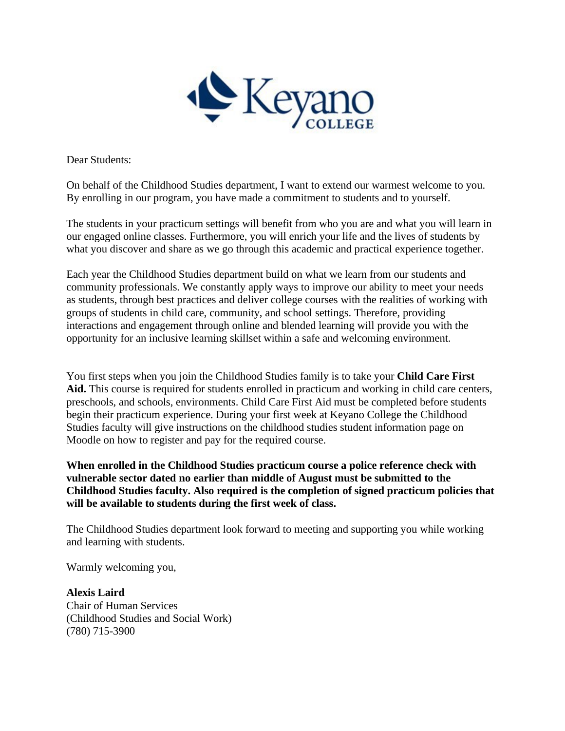

Dear Students:

On behalf of the Childhood Studies department, I want to extend our warmest welcome to you. By enrolling in our program, you have made a commitment to students and to yourself.

The students in your practicum settings will benefit from who you are and what you will learn in our engaged online classes. Furthermore, you will enrich your life and the lives of students by what you discover and share as we go through this academic and practical experience together.

Each year the Childhood Studies department build on what we learn from our students and community professionals. We constantly apply ways to improve our ability to meet your needs as students, through best practices and deliver college courses with the realities of working with groups of students in child care, community, and school settings. Therefore, providing interactions and engagement through online and blended learning will provide you with the opportunity for an inclusive learning skillset within a safe and welcoming environment.

You first steps when you join the Childhood Studies family is to take your **Child Care First Aid.** This course is required for students enrolled in practicum and working in child care centers, preschools, and schools, environments. Child Care First Aid must be completed before students begin their practicum experience. During your first week at Keyano College the Childhood Studies faculty will give instructions on the childhood studies student information page on Moodle on how to register and pay for the required course.

**When enrolled in the Childhood Studies practicum course a police reference check with vulnerable sector dated no earlier than middle of August must be submitted to the Childhood Studies faculty. Also required is the completion of signed practicum policies that will be available to students during the first week of class.**

The Childhood Studies department look forward to meeting and supporting you while working and learning with students.

Warmly welcoming you,

**Alexis Laird**  Chair of Human Services (Childhood Studies and Social Work) (780) 715-3900